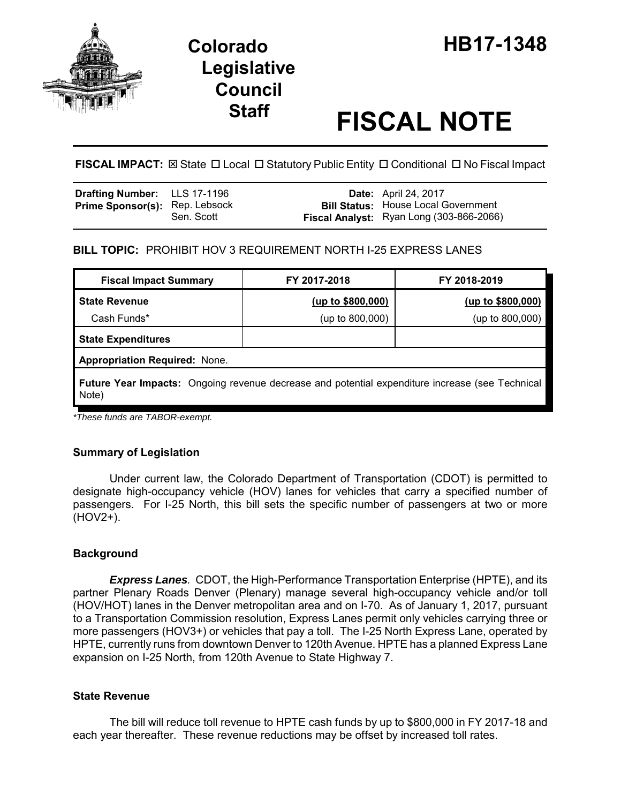

# **Legislative Council**

# **Staff FISCAL NOTE**

# **FISCAL IMPACT:** ⊠ State □ Local □ Statutory Public Entity □ Conditional □ No Fiscal Impact

| <b>Drafting Number:</b> LLS 17-1196   |            | <b>Date:</b> April 24, 2017                                                            |
|---------------------------------------|------------|----------------------------------------------------------------------------------------|
| <b>Prime Sponsor(s): Rep. Lebsock</b> | Sen. Scott | <b>Bill Status:</b> House Local Government<br>Fiscal Analyst: Ryan Long (303-866-2066) |

## **BILL TOPIC:** PROHIBIT HOV 3 REQUIREMENT NORTH I-25 EXPRESS LANES

| <b>Fiscal Impact Summary</b>                                                                             | FY 2017-2018      | FY 2018-2019      |  |  |
|----------------------------------------------------------------------------------------------------------|-------------------|-------------------|--|--|
| <b>State Revenue</b>                                                                                     | (up to \$800,000) | (up to \$800,000) |  |  |
| Cash Funds*                                                                                              | (up to 800,000)   | (up to 800,000)   |  |  |
| <b>State Expenditures</b>                                                                                |                   |                   |  |  |
| <b>Appropriation Required: None.</b>                                                                     |                   |                   |  |  |
| Future Year Impacts: Ongoing revenue decrease and potential expenditure increase (see Technical<br>Note) |                   |                   |  |  |

*\*These funds are TABOR-exempt.*

### **Summary of Legislation**

Under current law, the Colorado Department of Transportation (CDOT) is permitted to designate high-occupancy vehicle (HOV) lanes for vehicles that carry a specified number of passengers. For I-25 North, this bill sets the specific number of passengers at two or more (HOV2+).

### **Background**

*Express Lanes.* CDOT, the High-Performance Transportation Enterprise (HPTE), and its partner Plenary Roads Denver (Plenary) manage several high-occupancy vehicle and/or toll (HOV/HOT) lanes in the Denver metropolitan area and on I-70. As of January 1, 2017, pursuant to a Transportation Commission resolution, Express Lanes permit only vehicles carrying three or more passengers (HOV3+) or vehicles that pay a toll. The I-25 North Express Lane, operated by HPTE, currently runs from downtown Denver to 120th Avenue. HPTE has a planned Express Lane expansion on I-25 North, from 120th Avenue to State Highway 7.

### **State Revenue**

The bill will reduce toll revenue to HPTE cash funds by up to \$800,000 in FY 2017-18 and each year thereafter. These revenue reductions may be offset by increased toll rates.